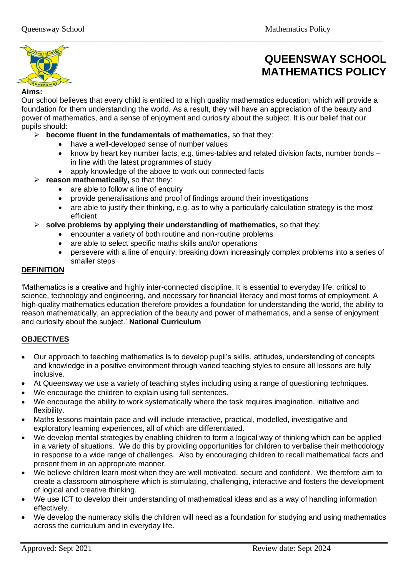

# **QUEENSWAY SCHOOL MATHEMATICS POLICY**

#### **Aims:**

Our school believes that every child is entitled to a high quality mathematics education, which will provide a foundation for them understanding the world. As a result, they will have an appreciation of the beauty and power of mathematics, and a sense of enjoyment and curiosity about the subject. It is our belief that our pupils should:

\_\_\_\_\_\_\_\_\_\_\_\_\_\_\_\_\_\_\_\_\_\_\_\_\_\_\_\_\_\_\_\_\_\_\_\_\_\_\_\_\_\_\_\_\_\_\_\_\_\_\_\_\_\_\_\_\_\_\_\_\_\_\_\_\_\_\_\_\_\_\_\_\_\_\_\_\_\_\_\_\_\_\_\_\_\_\_\_

- ➢ **become fluent in the fundamentals of mathematics,** so that they:
	- have a well-developed sense of number values
	- know by heart key number facts, e.g. times-tables and related division facts, number bonds in line with the latest programmes of study
	- apply knowledge of the above to work out connected facts
- ➢ **reason mathematically,** so that they:
	- are able to follow a line of enquiry
	- provide generalisations and proof of findings around their investigations
	- are able to justify their thinking, e.g. as to why a particularly calculation strategy is the most efficient
- ➢ **solve problems by applying their understanding of mathematics,** so that they:
	- encounter a variety of both routine and non-routine problems
	- are able to select specific maths skills and/or operations
	- persevere with a line of enquiry, breaking down increasingly complex problems into a series of smaller steps

# **DEFINITION**

'Mathematics is a creative and highly inter-connected discipline. It is essential to everyday life, critical to science, technology and engineering, and necessary for financial literacy and most forms of employment. A high-quality mathematics education therefore provides a foundation for understanding the world, the ability to reason mathematically, an appreciation of the beauty and power of mathematics, and a sense of enjoyment and curiosity about the subject.' **National Curriculum**

# **OBJECTIVES**

- Our approach to teaching mathematics is to develop pupil's skills, attitudes, understanding of concepts and knowledge in a positive environment through varied teaching styles to ensure all lessons are fully inclusive.
- At Queensway we use a variety of teaching styles including using a range of questioning techniques.
- We encourage the children to explain using full sentences.
- We encourage the ability to work systematically where the task requires imagination, initiative and flexibility.
- Maths lessons maintain pace and will include interactive, practical, modelled, investigative and exploratory learning experiences, all of which are differentiated.
- We develop mental strategies by enabling children to form a logical way of thinking which can be applied in a variety of situations. We do this by providing opportunities for children to verbalise their methodology in response to a wide range of challenges. Also by encouraging children to recall mathematical facts and present them in an appropriate manner.
- We believe children learn most when they are well motivated, secure and confident. We therefore aim to create a classroom atmosphere which is stimulating, challenging, interactive and fosters the development of logical and creative thinking.
- We use ICT to develop their understanding of mathematical ideas and as a way of handling information effectively.
- We develop the numeracy skills the children will need as a foundation for studying and using mathematics across the curriculum and in everyday life.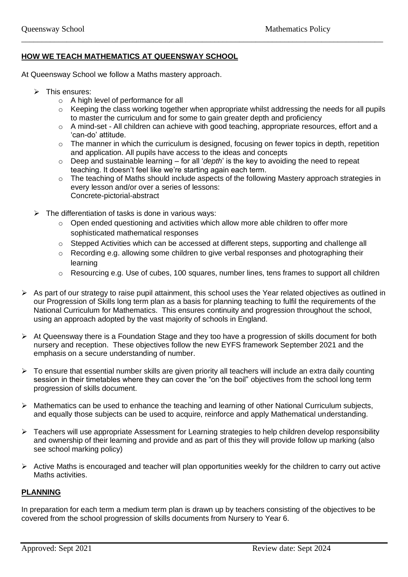# **HOW WE TEACH MATHEMATICS AT QUEENSWAY SCHOOL**

At Queensway School we follow a Maths mastery approach.

- $\triangleright$  This ensures:
	- o A high level of performance for all
	- o Keeping the class working together when appropriate whilst addressing the needs for all pupils to master the curriculum and for some to gain greater depth and proficiency
	- o A mind-set All children can achieve with good teaching, appropriate resources, effort and a 'can-do' attitude.
	- o The manner in which the curriculum is designed, focusing on fewer topics in depth, repetition and application. All pupils have access to the ideas and concepts
	- o Deep and sustainable learning for all '*depth*' is the key to avoiding the need to repeat teaching. It doesn't feel like we're starting again each term.

\_\_\_\_\_\_\_\_\_\_\_\_\_\_\_\_\_\_\_\_\_\_\_\_\_\_\_\_\_\_\_\_\_\_\_\_\_\_\_\_\_\_\_\_\_\_\_\_\_\_\_\_\_\_\_\_\_\_\_\_\_\_\_\_\_\_\_\_\_\_\_\_\_\_\_\_\_\_\_\_\_\_\_\_\_\_\_\_

- o The teaching of Maths should include aspects of the following Mastery approach strategies in every lesson and/or over a series of lessons: Concrete-pictorial-abstract
- $\triangleright$  The differentiation of tasks is done in various ways:
	- $\circ$  Open ended questioning and activities which allow more able children to offer more sophisticated mathematical responses
	- o Stepped Activities which can be accessed at different steps, supporting and challenge all
	- o Recording e.g. allowing some children to give verbal responses and photographing their learning
	- o Resourcing e.g. Use of cubes, 100 squares, number lines, tens frames to support all children
- ➢ As part of our strategy to raise pupil attainment, this school uses the Year related objectives as outlined in our Progression of Skills long term plan as a basis for planning teaching to fulfil the requirements of the National Curriculum for Mathematics. This ensures continuity and progression throughout the school, using an approach adopted by the vast majority of schools in England.
- ➢ At Queensway there is a Foundation Stage and they too have a progression of skills document for both nursery and reception. These objectives follow the new EYFS framework September 2021 and the emphasis on a secure understanding of number.
- ➢ To ensure that essential number skills are given priority all teachers will include an extra daily counting session in their timetables where they can cover the "on the boil" objectives from the school long term progression of skills document.
- $\triangleright$  Mathematics can be used to enhance the teaching and learning of other National Curriculum subjects, and equally those subjects can be used to acquire, reinforce and apply Mathematical understanding.
- ➢ Teachers will use appropriate Assessment for Learning strategies to help children develop responsibility and ownership of their learning and provide and as part of this they will provide follow up marking (also see school marking policy)
- ➢ Active Maths is encouraged and teacher will plan opportunities weekly for the children to carry out active Maths activities.

#### **PLANNING**

In preparation for each term a medium term plan is drawn up by teachers consisting of the objectives to be covered from the school progression of skills documents from Nursery to Year 6.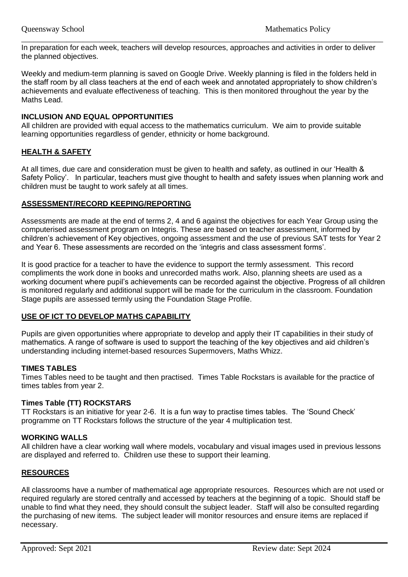In preparation for each week, teachers will develop resources, approaches and activities in order to deliver the planned objectives.

\_\_\_\_\_\_\_\_\_\_\_\_\_\_\_\_\_\_\_\_\_\_\_\_\_\_\_\_\_\_\_\_\_\_\_\_\_\_\_\_\_\_\_\_\_\_\_\_\_\_\_\_\_\_\_\_\_\_\_\_\_\_\_\_\_\_\_\_\_\_\_\_\_\_\_\_\_\_\_\_\_\_\_\_\_\_\_\_

Weekly and medium-term planning is saved on Google Drive. Weekly planning is filed in the folders held in the staff room by all class teachers at the end of each week and annotated appropriately to show children's achievements and evaluate effectiveness of teaching. This is then monitored throughout the year by the Maths Lead.

## **INCLUSION AND EQUAL OPPORTUNITIES**

All children are provided with equal access to the mathematics curriculum. We aim to provide suitable learning opportunities regardless of gender, ethnicity or home background.

## **HEALTH & SAFETY**

At all times, due care and consideration must be given to health and safety, as outlined in our 'Health & Safety Policy'. In particular, teachers must give thought to health and safety issues when planning work and children must be taught to work safely at all times.

#### **ASSESSMENT/RECORD KEEPING/REPORTING**

Assessments are made at the end of terms 2, 4 and 6 against the objectives for each Year Group using the computerised assessment program on Integris. These are based on teacher assessment, informed by children's achievement of Key objectives, ongoing assessment and the use of previous SAT tests for Year 2 and Year 6. These assessments are recorded on the 'integris and class assessment forms'.

It is good practice for a teacher to have the evidence to support the termly assessment. This record compliments the work done in books and unrecorded maths work. Also, planning sheets are used as a working document where pupil's achievements can be recorded against the objective. Progress of all children is monitored regularly and additional support will be made for the curriculum in the classroom. Foundation Stage pupils are assessed termly using the Foundation Stage Profile.

#### **USE OF ICT TO DEVELOP MATHS CAPABILITY**

Pupils are given opportunities where appropriate to develop and apply their IT capabilities in their study of mathematics. A range of software is used to support the teaching of the key objectives and aid children's understanding including internet-based resources Supermovers, Maths Whizz.

#### **TIMES TABLES**

Times Tables need to be taught and then practised. Times Table Rockstars is available for the practice of times tables from year 2.

#### **Times Table (TT) ROCKSTARS**

TT Rockstars is an initiative for year 2-6. It is a fun way to practise times tables. The 'Sound Check' programme on TT Rockstars follows the structure of the year 4 multiplication test.

#### **WORKING WALLS**

All children have a clear working wall where models, vocabulary and visual images used in previous lessons are displayed and referred to. Children use these to support their learning.

#### **RESOURCES**

All classrooms have a number of mathematical age appropriate resources. Resources which are not used or required regularly are stored centrally and accessed by teachers at the beginning of a topic. Should staff be unable to find what they need, they should consult the subject leader. Staff will also be consulted regarding the purchasing of new items. The subject leader will monitor resources and ensure items are replaced if necessary.